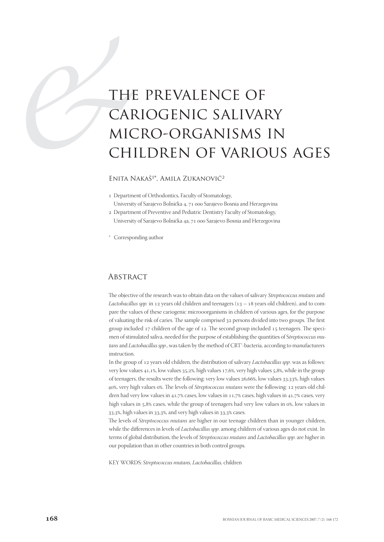# THI CAF MIC<br>CAF MIC<br>CHI the prevalence of cariogenic salivary micro-organisms in children of various ages

### ENITA NAKAŠ<sup>1\*</sup>, AMILA ZUKANOVIĆ<sup>2</sup>

Department of Orthodontics, Faculty of Stomatology,

University of Sarajevo Bolnička 4, 71 000 Sarajevo Bosnia and Herzegovina Department of Preventive and Pediatric Dentistry Faculty of Stomatology,

- University of Sarajevo Bolnička 4a, 71 000 Sarajevo Bosnia and Herzegovina
- \* Corresponding author

#### **ABSTRACT**

The objective of the research was to obtain data on the values of salivary Streptococcus mutans and Lactobacillus spp. in 12 years old children and teenagers  $(13 - 18)$  years old children), and to compare the values of these cariogenic microoorganisms in children of various ages, for the purpose of valuating the risk of caries. The sample comprised 32 persons divided into two groups. The first group included  $17$  children of the age of  $12$ . The second group included  $15$  teenagers. The specimen of stimulated saliva, needed for the purpose of establishing the quantities of Streptococcus mutans and Lactobacillus spp., was taken by the method of CRT<sup>®</sup>-bacteria, according to manufacturers instruction.

In the group of 12 years old children, the distribution of salivary *Lactobacillus spp*. was as follows: very low values  $41.1\%$ , low values  $35.2\%$ , high values  $17.6\%$ , very high values  $5.8\%$ , while in the group of teenagers, the results were the following: very low values 26,66%, low values 33,33%, high values 40%, very high values 0%. The levels of Streptococcus mutans were the following: 12 years old children had very low values in  $41.7\%$  cases, low values in  $11.7\%$  cases, high values in  $41.7\%$  cases, very high values in  $5.8\%$  cases, while the group of teenagers had very low values in  $\alpha$ %, low values in  $33,3\%$ , high values in  $33,3\%$ , and very high values in  $33,3\%$  cases.

The levels of *Streptococcus mutans* are higher in our teenage children than in younger children, while the differences in levels of *Lactobacillus spp*. among children of various ages do not exist. In terms of global distribution, the levels of Streptococcus mutans and Lactobacillus spp. are higher in our population than in other countries in both control groups.

KEY WORDS: Streptococcus mutans, Lactobacillus, children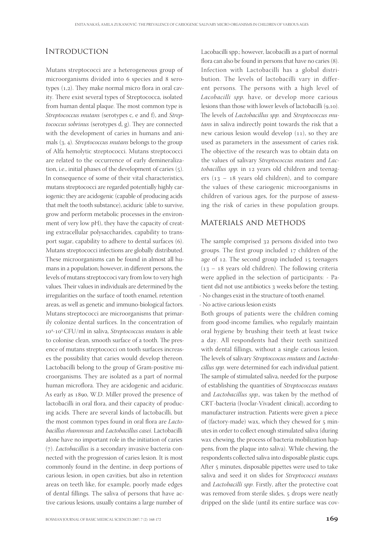## **INTRODUCTION**

Mutans streptococci are a heterogeneous group of microorganisms divided into 6 species and 8 serotypes  $(1,2)$ . They make normal micro flora in oral cavity. There exist several types of Streptococca, isolated from human dental plaque. The most common type is Streptococcus mutans (serotypes c, e and f), and Streptococcus sobrinus (serotypes d, g). They are connected with the development of caries in humans and animals  $(3, 4)$ . Streptococcus mutans belongs to the group of Alfa hemolytic streptococci. Mutans streptococci are related to the occurrence of early demineralization, i.e., initial phases of the development of caries  $(5)$ . In consequence of some of their vital characteristics, mutans streptococci are regarded potentially highly cariogenic: they are acidogenic (capable of producing acids that melt the tooth substance), aciduric (able to survive, grow and perform metabolic processes in the environment of very low pH), they have the capacity of creating extracellular polysaccharides, capability to transport sugar, capability to adhere to dental surfaces (6). Mutans streptococci infections are globally distributed. These microorganisms can be found in almost all humans in a population; however, in different persons, the levels of mutans streptoccoci vary from low to very high values. Their values in individuals are determined by the irregularities on the surface of tooth enamel, retention areas, as well as genetic and immuno-biological factors. Mutans streptococci are microorganisms that primarily colonize dental surfices. In the concentration of 10<sup>4</sup>-10<sup>5</sup> CFU/ml in saliva, Streptococcus mutans is able to colonise clean, smooth surface of a tooth. The presence of mutans streptococci on tooth surfaces increases the possibility that caries would develop thereon. Lactobacilli belong to the group of Gram-positive microorganisms. They are isolated as a part of normal human microflora. They are acidogenic and aciduric. As early as 1890, W.D. Miller proved the presence of lactobacilli in oral flora, and their capacity of producing acids. There are several kinds of lactobacilli, but the most common types found in oral flora are Lactobacillus rhamnosus and Lactobacillus casei. Lactobacilli alone have no important role in the initiation of caries  $(7)$ . Lactobacillus is a secondary invasive bacteria connected with the progression of caries lesion. It is most commonly found in the dentine, in deep portions of carious lesion, in open cavities, but also in retention areas on teeth like, for example, poorly made edges of dental fillings. The saliva of persons that have active carious lesions, usually contains a large number of

Lacobacilli spp.; however, lacobacilli as a part of normal flora can also be found in persons that have no caries (8). Infection with Lactobacilli has a global distribution. The levels of lactobacilli vary in different persons. The persons with a high level of Lacobacilli spp. have, or develop more carious lesions than those with lower levels of lactobacilli  $(9,10)$ . The levels of Lactobacillus spp. and Streptococcus mutans in saliva indirectly point towards the risk that a new carious lesion would develop  $(11)$ , so they are used as parameters in the assessment of caries risk. The objective of the research was to obtain data on the values of salivary Streptococcus mutans and Lactobacillus spp. in 12 years old children and teenagers  $(13 - 18$  years old children), and to compare the values of these cariogenic microorganisms in children of various ages, for the purpose of assessing the risk of caries in these population groups.

#### Materials and Methods

The sample comprised 32 persons divided into two groups. The first group included  $17$  children of the age of 12. The second group included 15 teenagers  $(13 - 18$  years old children). The following criteria were applied in the selection of participants: - Patient did not use antibiotics 3 weeks before the testing. - No changes exist in the structure of tooth enamel.

- No active carious lesion exists

Both groups of patients were the children coming from good-income families, who regularly maintain oral hygiene by brushing their teeth at least twice a day. All respondents had their teeth sanitized with dental fillings, without a single carious lesion. The levels of salivary Streptoccocus mutans and Lactobacillus spp. were determined for each individual patient. The sample of stimulated saliva, needed for the purpose of establishing the quantities of Streptococcus mutans and Lactobacillus spp., was taken by the method of CRT<sup>-</sup>bacteria (Ivoclar-Vivadent clinical), according to manufacturer instruction. Patients were given a piece of (factory-made) wax, which they chewed for 5 minutes in order to collect enough stimulated saliva (during wax chewing, the process of bacteria mobilization happens, from the plaque into saliva). While chewing, the respondents collected saliva into disposable plastic cups. After 5 minutes, disposable pipettes were used to take saliva and seed it on slides for Streptococci mutans and Lactobacilli spp. Firstly, after the protective coat was removed from sterile slides, 5 drops were neatly dripped on the slide (until its entire surface was cov-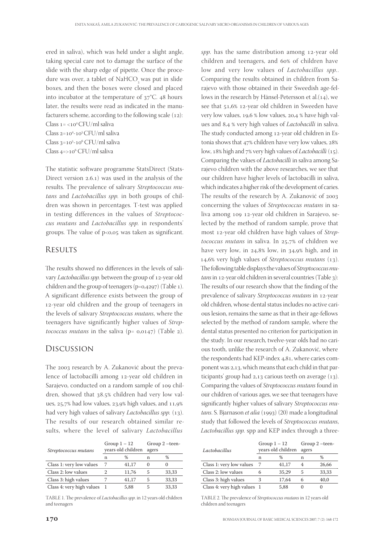ered in saliva), which was held under a slight angle, taking special care not to damage the surface of the slide with the sharp edge of pipette. Once the procedure was over, a tablet of NaHCO was put in slide boxes, and then the boxes were closed and placed into incubator at the temperature of  $37^{\circ}$ C. 48 hours later, the results were read as indicated in the manufacturers scheme, according to the following scale  $(12)$ : Class  $1 = < 10<sup>4</sup> CFU/ml$  saliva Class 2=10<sup>4</sup>-10<sup>5</sup> CFU/ml saliva Class 3=10<sup>5</sup>-10<sup>6</sup> CFU/ml saliva Class 4=>10<sup>6</sup> CFU/ml saliva

The statistic software programme StatsDirect (Stats-Direct version  $2.6.1$ ) was used in the analysis of the results. The prevalence of salivary Streptococcus mutans and Lactobacillus spp. in both groups of children was shown in percentages. T-test was applied in testing differences in the values of Streptococcus mutans and Lactobacillus spp. in respondents' groups. The value of  $p < 0.05$  was taken as significant.

# **RESULTS**

The results showed no differences in the levels of salivary Lactobacillus spp. between the group of 12-year old children and the group of teenagers ( $p=a,4297$ ) (Table 1). A significant difference exists between the group of 12-year old children and the group of teenagers in the levels of salivary Streptococcus mutans, where the teenagers have significantly higher values of Streptococcus mutans in the saliva ( $p= 0.0147$ ) (Table 2).

## Discussion

The 2003 research by A. Zukanović about the prevalence of lactobacilli among 12-year old children in Sarajevo, conducted on a random sample of 109 children, showed that 38.5% children had very low values,  $25.7\%$  had low values,  $23.9\%$  high values, and  $11.9\%$ had very high values of salivary *Lactobacillus spp.* (13). The results of our research obtained similar results, where the level of salivary Lactobacillus

| Streptococcus mutans      | Group $1 - 12$<br>years old children |       | Group 2 -teen-<br>agers |       |
|---------------------------|--------------------------------------|-------|-------------------------|-------|
|                           | n                                    | %     | n                       | %     |
| Class 1: very low values  |                                      | 41,17 | $\Omega$                | O     |
| Class 2: low values       |                                      | 11,76 | 5                       | 33,33 |
| Class 3: high values      |                                      | 41.17 | 5                       | 33,33 |
| Class 4: very high values |                                      | 5,88  | 5                       | 33,33 |

TABLE 1. The prevalence of *Lactobacillus spp*. in 12 years old children and teenagers

spp. has the same distribution among  $12$ -year old children and teenagers, and 60% of children have low and very low values of *Lactobacillus spp.*. Comparing the results obtained in children from Sarajevo with those obtained in their Sweedish age-fellows in the research by Hänsel-Petersson et al. $(14)$ , we see that 51,6% 12-year old children in Sweeden have very low values, 19,6 % low values, 20,4 % have high values and 8,4 % very high values of *Lactobacilli* in saliva. The study conducted among 12-year old children in Estonia shows that  $47\%$  children have very low values,  $28\%$ low, 18% high and 7% very high values of *Lactobacilli* (15). Comparing the values of Lactobacilli in saliva among Sarajevo children with the above researches, we see that our children have higher levels of lactobacilli in saliva, which indicates a higher risk of the development of caries. The results of the research by A. Zukanović of 2003 concerning the values of Streptococcus mutans in saliva among 109 12-year old children in Sarajevo, selected by the method of random sample, prove that most 12-year old children have high values of Streptococcus mutans in saliva. In  $25.7%$  of children we have very low, in  $24,8\%$  low, in  $34,9\%$  high, and in  $14,6\%$  very high values of Streptococcus mutans  $(13)$ . The following table displays the values of Streptococcus mu $tans$  in 12-year old children in several countries (Table 3): The results of our research show that the finding of the prevalence of salivary Streptococcus mutans in 12-year old children, whose dental status includes no active carious lesion, remains the same as that in their age-fellows selected by the method of random sample, where the dental status presented no criterion for participation in the study. In our research, twelve-year olds had no carious tooth, unlike the research of A. Zukanović, where the respondents had KEP-index 4,81, where caries component was 2,13, which means that each child in that participants' group had  $2,13$  carious teeth on average  $(13)$ . Comparing the values of Streptococcus mutans found in our children of various ages, we see that teenagers have significantly higher values of salivary Streptococcus mu $tans$ . S. Bjarnason et alia (1993) (20) made a longitudinal study that followed the levels of Streptococcus mutans, Lactobacillus spp. spp and KEP index through a three-

| Lactobacillus               | Group $1 - 12$<br>years old children |       | Group 2 -teen-<br>agers |       |
|-----------------------------|--------------------------------------|-------|-------------------------|-------|
|                             | n                                    | %     | n                       | %     |
| Class 1: very low values    |                                      | 41,17 |                         | 26,66 |
| Class 2: low values         | რ                                    | 35,29 | 5                       | 33,33 |
| Class 3: high values        | 3                                    | 17.64 | 6                       | 40.0  |
| Class 4: very high values 1 |                                      | 5.88  |                         |       |

TABLE 2. The prevalence of Streptococcus mutans in 12 years old children and teenagers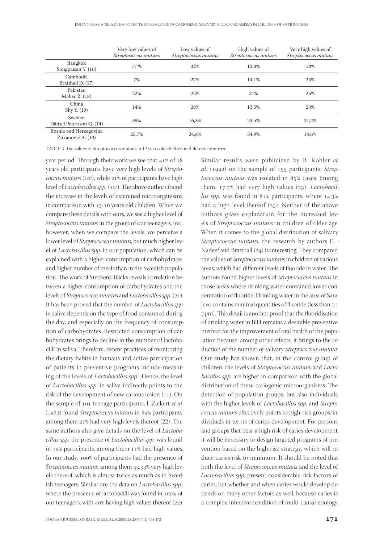|                                             | Very low values of<br>Streptococcus mutans | Low values of<br>Streptococcus mutans | High values of<br>Streptococcus mutans | Very high values of<br>Streptococcus mutans |
|---------------------------------------------|--------------------------------------------|---------------------------------------|----------------------------------------|---------------------------------------------|
| Bangkok<br>Songpaisan Y. (16)               | 17 %                                       | 32%                                   | 13,3%                                  | 18%                                         |
| Cambodia<br>Bratthall D. (17)               | 7%                                         | 27%                                   | 14.1%                                  | 25%                                         |
| Pakistan<br>Maher R. $(18)$                 | 22%                                        | 22%                                   | 31%                                    | 25%                                         |
| China<br>Shy Y. (19)                        | 14%                                        | 28%                                   | 13,5%                                  | 23%                                         |
| Sweden<br>Hänsel Petersson G. (14)          | 39%                                        | 16,3%                                 | 23,5%                                  | 21,2%                                       |
| Bosnia and Herzegovina<br>Zukanović A. (13) | 25,7%                                      | 24.8%                                 | 34,9%                                  | 14,6%                                       |

TABLE 3. The values of Streptococcus mutans in 12 years old children in different countries:

year period. Through their work we see that  $41\%$  of 18 years old participants have very high levels of Streptococcus mutans (10<sup>5</sup>), while 21% of participants have high level of *Lactobacillus spp.* (10<sup>5</sup>). The above authors found the increase in the levels of examined microorganisms, in comparison with 15-16 years old children. When we compare these details with ours, we see a higher level of Streptococcus mutans in the group of our teenagers, too; however, when we compare the levels, we perceive a lower level of Streptococcus mutans, but much higher level of Lactobacillus spp. in our population, which can be explained with a higher consumption of carbohydrates and higher number of meals than in the Swedish population. The work of Steckens-Blicks reveals correlation between a higher consumption of carbohydrates and the levels of Streptococcus mutans and Lactobacillus spp. (21). It has been proved that the number of Lactobacillus spp. in saliva depends on the type of food consumed during the day, and especially on the frequency of consumption of carbohydrates. Restricted consumption of carbohydrates brings to decline in the number of lactobacilli in saliva. Therefore, recent practices of monitoring the dietary habits in humans and active participation of patients in preventive programs include measuring of the levels of Lactobacillus spp.. Hence, the level of Lactobacillus spp. in saliva indirectly points to the risk of the development of new carious lesion  $(11)$ . On the sample of 101 teenage participants, I. Zickert et al.  $(1982)$  found Streptococcus mutans in 89% participants, among them  $21\%$  had very high levels thereof (22). The same authors also give details on the level of *Lactoba*cillus spp. the presence of Lactobacillus spp. was found in  $79\%$  participants, among them  $11\%$  had high values. In our study, 100% of participants had the presence of Streptococcus mutans, among them 33,33% very high levels thereof, which is almost twice as much as in Swedish teenagers. Similar are the data on *Lactobacillus spp.*, where the presence of lactobacilli was found in 100% of our teenagers, with  $40\%$  having high values thereof (22). Similar results were publicized by B. Kohler et al. (1992) on the sample of  $155$  participants, Strep $tococcus$  mutans was isolated in  $85%$  cases; among them,  $17.7%$  had very high values (23). Lactobacillus spp. was found in  $81\%$  participants, where  $14.3\%$ had a high level thereof  $(23)$ . Neither of the above authors gives explanation for the increased levels of Streptococcus mutans in children of older age. When it comes to the global distribution of salivary Streptococcus mutans, the research by authors El - Nadeef and Bratthall  $(24)$  is interesting. They compared the values of Streptococcus mutans in children of various areas, which had different levels of fluoride in water. The authors found higher levels of Streptococcus mutans in those areas where drinking water contained lower concentration of fluoride. Drinking water in the area of Sarajevo contains minimal quantities of fluoride (less than 0,1) ppm). This detail is another proof that the fluoridisation of drinking water in BiH remains a desirable preventive method for the improvement of oral health of the population because, among other effects, it brings to the reduction of the number of salivary Streptococcus mutans. Our study has shown that, in the control group of children, the levels of Streptococcus mutans and Lactobacillus spp. are higher in comparison with the global distribution of these cariogenic microorganisms. The detection of population groups, but also individuals, with the higher levels of Lactobacillus spp. and Streptococcus mutans effectively points to high-risk groups/individuals in terms of caries development. For persons and groups that bear a high risk of caries development, it will be necessary to design targeted programs of prevention based on the high-risk strategy, which will reduce caries risk to minimum. It should be noted that both the level of Streptococcus mutans and the level of Lactobacillus spp. present considerable risk-factors of caries, but whether and when caries would develop depends on many other factors as well, because caries is a complex infective condition of multi-causal etiology.